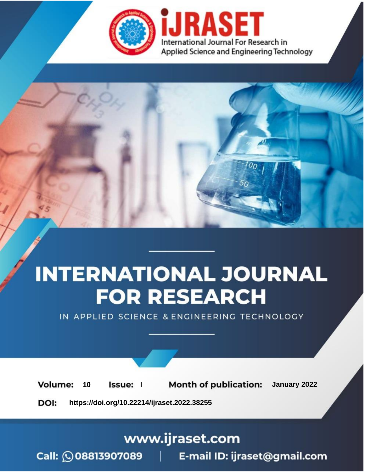

# **INTERNATIONAL JOURNAL FOR RESEARCH**

IN APPLIED SCIENCE & ENGINEERING TECHNOLOGY

**Month of publication:** January 2022 **Volume:** 10 **Issue:** I

DOI: https://doi.org/10.22214/ijraset.2022.38255

www.ijraset.com

Call: 008813907089 | E-mail ID: ijraset@gmail.com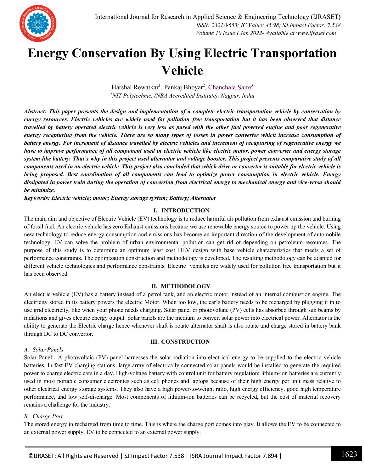

### **Energy Conservation By Using Electric Transportation Vehicle**

Harshal Rewatkar<sup>1</sup>, Pankaj Bhoyar<sup>2</sup>, Chanchala Saire<sup>3</sup> *<sup>1</sup>NIT Polytechnic, (NBA Accredited Institute), Nagpur, India*

*Abstract: This paper presents the design and implementation of a complete electric transportation vehicle by conservation by energy resources. Electric vehicles are widely used for pollution free transportation but it has been observed that distance travelled by battery operated electric vehicle is very less as pared with the other fuel powered engine and poor regenerative energy recapturing from the vehicle. There are so many types of losses in power converter which increase consumption of battery energy. For increment of distance travelled by electric vehicles and increment of recapturing of regenerative energy we have to improve performance of all component used in electric vehicle like electric motor, power converter and energy storage system like battery. That's why in this project used alternator and voltage booster. This project presents comparative study of all components used in an electric vehicle. This project also concluded that which drive or converter is suitable for electric vehicle is being proposed. Best coordination of all components can lead to optimize power consumption in electric vehicle. Energy dissipated in power train during the operation of conversion from electrical energy to mechanical energy and vice-versa should be minimize.*

*Keywords: Electric vehicle; motor; Energy storage system; Battery; Alternator* 

#### **I. INTRODUCTION**

The main aim and objective of Electric Vehicle (EV) technology is to reduce harmful air pollution from exhaust emission and burning of fossil fuel. An electric vehicle has zero Exhaust emissions because we use renewable energy source to power up the vehicle. Using new technology to reduce energy consumption and emissions has become an important direction of the development of automobile technology. EV can solve the problem of urban environmental pollution can get rid of depending on petroleum resources. The purpose of this study is to determine an optimum least cost HEV design with base vehicle characteristics that meets a set of performance constraints. The optimization construction and methodology is developed. The resulting methodology can be adapted for different vehicle technologies and performance constraints. Electric vehicles are widely used for pollution free transportation but it has been observed.

#### **II. METHODOLOGY**

An electric vehicle (EV) has a battery instead of a petrol tank, and an electric motor instead of an internal combustion engine. The electricity stored in its battery powers the electric Motor. When too low, the car's battery needs to be recharged by plugging it in to use grid electricity, like when your phone needs charging. Solar panel or photovoltaic (PV) cells has absorbed through sun beams by radiations and gives electric energy output. Solar panels are the medium to convert solar power into electrical power. Alternator is the ability to generate the Electric charge hence whenever shaft is rotate alternator shaft is also rotate and charge stored in battery bank through DC to DC convertor.

#### **III. CONSTRUCTION**

#### *A. Solar Panels*

Solar Panel:- A photovoltaic (PV) panel harnesses the solar radiation into electrical energy to be supplied to the electric vehicle batteries. In fast EV charging stations, large array of electrically connected solar panels would be installed to generate the required power to charge electric cars in a day. High-voltage battery with control unit for battery regulation: lithium-ion batteries are currently used in most portable consumer electronics such as cell phones and laptops because of their high energy per unit mass relative to other electrical energy storage systems. They also have a high power-to-weight ratio, high energy efficiency, good high temperature performance, and low self-discharge. Most components of lithium-ion batteries can be recycled, but the cost of material recovery remains a challenge for the industry.

#### *B. Charge Port*

The stored energy in recharged from time to time. This is where the charge port comes into play. It allows the EV to be connected to an external power supply. EV to be connected to an external power supply.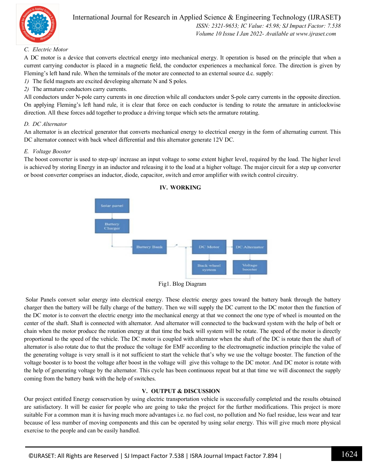

#### International Journal for Research in Applied Science & Engineering Technology (IJRASET**)**  *ISSN: 2321-9653; IC Value: 45.98; SJ Impact Factor: 7.538 Volume 10 Issue I Jan 2022- Available at www.ijraset.com*

#### *C. Electric Motor*

A DC motor is a device that converts electrical energy into mechanical energy. It operation is based on the principle that when a current carrying conductor is placed in a magnetic field, the conductor experiences a mechanical force. The direction is given by Fleming's left hand rule. When the terminals of the motor are connected to an external source d.c. supply:

- *1)* The field magnets are excited developing alternate N and S poles.
- *2)* The armature conductors carry currents.

All conductors under N-pole carry currents in one direction while all conductors under S-pole carry currents in the opposite direction. On applying Fleming's left hand rule, it is clear that force on each conductor is tending to rotate the armature in anticlockwise direction. All these forces add together to produce a driving torque which sets the armature rotating.

#### *D. DC Alternator*

An alternator is an electrical generator that converts mechanical energy to electrical energy in the form of alternating current. This DC alternator connect with back wheel differential and this alternator generate 12V DC.

#### *E. Voltage Booster*

The boost converter is used to step-up/ increase an input voltage to some extent higher level, required by the load. The higher level is achieved by storing Energy in an inductor and releasing it to the load at a higher voltage. The major circuit for a step up converter or boost converter comprises an inductor, diode, capacitor, switch and error amplifier with switch control circuitry.



#### **IV. WORKING**

Fig1. Blog Diagram

Solar Panels convert solar energy into electrical energy. These electric energy goes toward the battery bank through the battery charger then the battery will be fully charge of the battery. Then we will supply the DC current to the DC motor then the function of the DC motor is to convert the electric energy into the mechanical energy at that we connect the one type of wheel is mounted on the center of the shaft. Shaft is connected with alternator. And alternator will connected to the backward system with the help of belt or chain when the motor produce the rotation energy at that time the back will system will be rotate. The speed of the motor is directly proportional to the speed of the vehicle. The DC motor is coupled with alternator when the shaft of the DC is rotate then the shaft of alternator is also rotate due to that the produce the voltage for EMF according to the electromagnetic induction principle the value of the generating voltage is very small is it not sufficient to start the vehicle that's why we use the voltage booster. The function of the voltage booster is to boost the voltage after boost in the voltage will give this voltage to the DC motor. And DC motor is rotate with the help of generating voltage by the alternator. This cycle has been continuous repeat but at that time we will disconnect the supply coming from the battery bank with the help of switches.

#### **V. OUTPUT & DISCUSSION**

Our project entitled Energy conservation by using electric transportation vehicle is successfully completed and the results obtained are satisfactory. It will be easier for people who are going to take the project for the further modifications. This project is more suitable For a common man it is having much more advantages i.e. no fuel cost, no pollution and No fuel residue, less wear and tear because of less number of moving components and this can be operated by using solar energy. This will give much more physical exercise to the people and can be easily handled.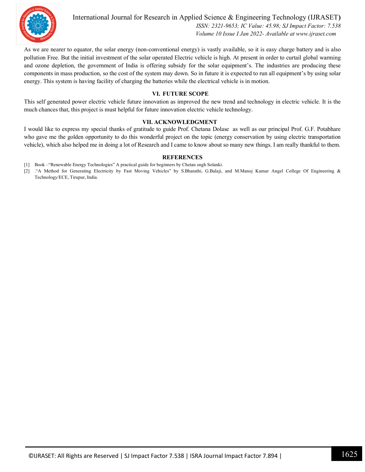

International Journal for Research in Applied Science & Engineering Technology (IJRASET**)**  *ISSN: 2321-9653; IC Value: 45.98; SJ Impact Factor: 7.538 Volume 10 Issue I Jan 2022- Available at www.ijraset.com*

As we are nearer to equator, the solar energy (non-conventional energy) is vastly available, so it is easy charge battery and is also pollution Free. But the initial investment of the solar operated Electric vehicle is high. At present in order to curtail global warming and ozone depletion, the government of India is offering subsidy for the solar equipment's. The industries are producing these components in mass production, so the cost of the system may down. So in future it is expected to run all equipment's by using solar energy. This system is having facility of charging the batteries while the electrical vehicle is in motion.

#### **VI. FUTURE SCOPE**

This self generated power electric vehicle future innovation as improved the new trend and technology in electric vehicle. It is the much chances that, this project is must helpful for future innovation electric vehicle technology.

#### **VII. ACKNOWLEDGMENT**

I would like to express my special thanks of gratitude to guide Prof. Chetana Dolase as well as our principal Prof. G.F. Potabhare who gave me the golden opportunity to do this wonderful project on the topic (energy conservation by using electric transportation vehicle), which also helped me in doing a lot of Research and I came to know about so many new things. I am really thankful to them.

#### **REFERENCES**

- [1] Book –"Renewable Energy Technologies" A practical guide for beginners by Chetan sngh Solanki.
- [2] ."A Method for Generating Electricity by Fast Moving Vehicles" by S.Bharathi, G.Balaji, and M.Manoj Kumar Angel College Of Engineering & Technology/ECE, Tirupur, India.